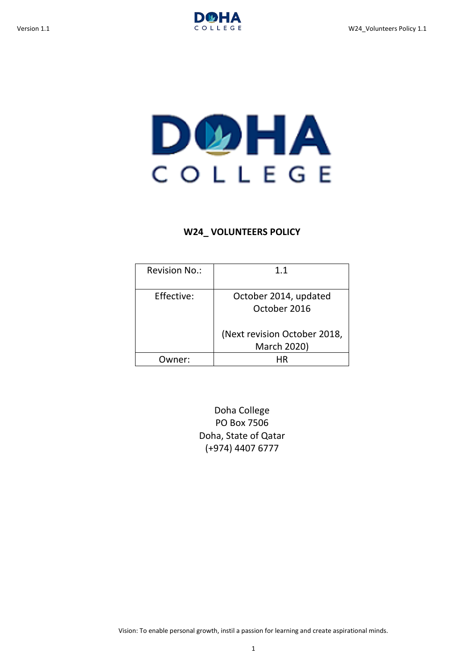

# DOHA COLLEGE

# **W24\_ VOLUNTEERS POLICY**

| <b>Revision No.:</b> | 11                                                                                   |
|----------------------|--------------------------------------------------------------------------------------|
| Effective:           | October 2014, updated<br>October 2016<br>(Next revision October 2018,<br>March 2020) |
| ner <sup>.</sup>     |                                                                                      |

Doha College PO Box 7506 Doha, State of Qatar (+974) 4407 6777

Vision: To enable personal growth, instil a passion for learning and create aspirational minds.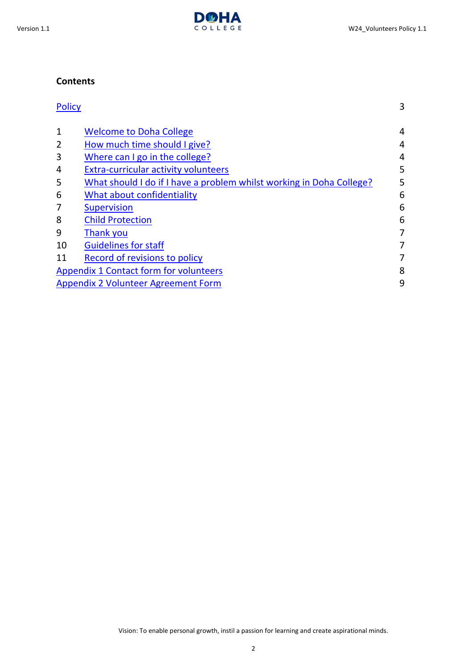# **Contents**

| <b>Policy</b>                                                        | 3 |
|----------------------------------------------------------------------|---|
| <b>Welcome to Doha College</b>                                       | 4 |
| How much time should I give?                                         | 4 |
| Where can I go in the college?                                       | 4 |
| <b>Extra-curricular activity volunteers</b>                          | 5 |
| What should I do if I have a problem whilst working in Doha College? | 5 |
| What about confidentiality                                           | 6 |
| <b>Supervision</b>                                                   | 6 |
| <b>Child Protection</b>                                              | 6 |
| Thank you                                                            | 7 |
| <b>Guidelines for staff</b>                                          | 7 |
| Record of revisions to policy                                        | 7 |
| <b>Appendix 1 Contact form for volunteers</b>                        | 8 |
| Appendix 2 Volunteer Agreement Form                                  |   |
|                                                                      |   |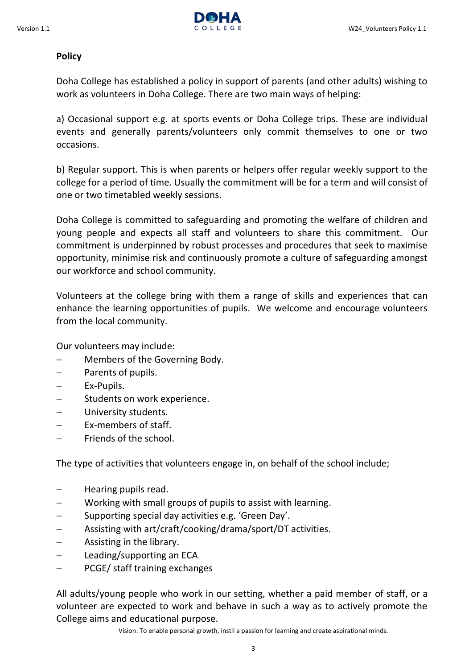

# <span id="page-2-0"></span>**Policy**

Doha College has established a policy in support of parents (and other adults) wishing to work as volunteers in Doha College. There are two main ways of helping:

a) Occasional support e.g. at sports events or Doha College trips. These are individual events and generally parents/volunteers only commit themselves to one or two occasions.

b) Regular support. This is when parents or helpers offer regular weekly support to the college for a period of time. Usually the commitment will be for a term and will consist of one or two timetabled weekly sessions.

Doha College is committed to safeguarding and promoting the welfare of children and young people and expects all staff and volunteers to share this commitment. Our commitment is underpinned by robust processes and procedures that seek to maximise opportunity, minimise risk and continuously promote a culture of safeguarding amongst our workforce and school community.

Volunteers at the college bring with them a range of skills and experiences that can enhance the learning opportunities of pupils. We welcome and encourage volunteers from the local community.

Our volunteers may include:

- Members of the Governing Body.
- Parents of pupils.
- Ex-Pupils.
- Students on work experience.
- University students.
- Ex-members of staff.
- Friends of the school.

The type of activities that volunteers engage in, on behalf of the school include;

- Hearing pupils read.
- Working with small groups of pupils to assist with learning.
- $-$  Supporting special day activities e.g. 'Green Day'.
- Assisting with art/craft/cooking/drama/sport/DT activities.
- $-$  Assisting in the library.
- Leading/supporting an ECA
- PCGE/ staff training exchanges

All adults/young people who work in our setting, whether a paid member of staff, or a volunteer are expected to work and behave in such a way as to actively promote the College aims and educational purpose.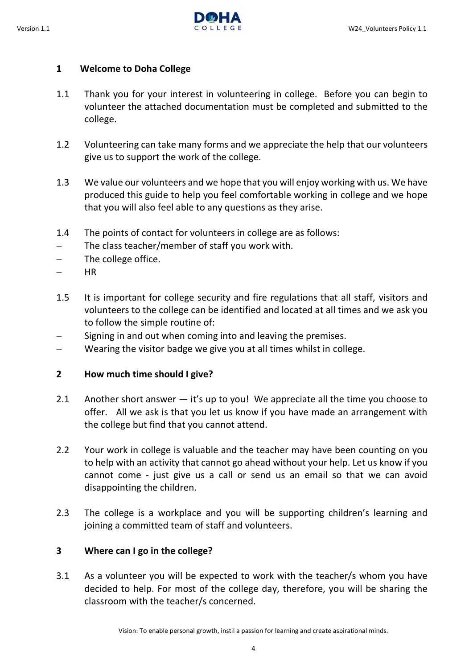

# <span id="page-3-0"></span>**1 Welcome to Doha College**

- 1.1 Thank you for your interest in volunteering in college. Before you can begin to volunteer the attached documentation must be completed and submitted to the college.
- 1.2 Volunteering can take many forms and we appreciate the help that our volunteers give us to support the work of the college.
- 1.3 We value our volunteers and we hope that you will enjoy working with us. We have produced this guide to help you feel comfortable working in college and we hope that you will also feel able to any questions as they arise.
- 1.4 The points of contact for volunteers in college are as follows:
- The class teacher/member of staff you work with.
- The college office.
- $-$  HR
- 1.5 It is important for college security and fire regulations that all staff, visitors and volunteers to the college can be identified and located at all times and we ask you to follow the simple routine of:
- $-$  Signing in and out when coming into and leaving the premises.
- Wearing the visitor badge we give you at all times whilst in college.

# <span id="page-3-1"></span>**2 How much time should I give?**

- 2.1 Another short answer it's up to you! We appreciate all the time you choose to offer. All we ask is that you let us know if you have made an arrangement with the college but find that you cannot attend.
- 2.2 Your work in college is valuable and the teacher may have been counting on you to help with an activity that cannot go ahead without your help. Let us know if you cannot come - just give us a call or send us an email so that we can avoid disappointing the children.
- 2.3 The college is a workplace and you will be supporting children's learning and joining a committed team of staff and volunteers.

# <span id="page-3-2"></span>**3 Where can I go in the college?**

3.1 As a volunteer you will be expected to work with the teacher/s whom you have decided to help. For most of the college day, therefore, you will be sharing the classroom with the teacher/s concerned.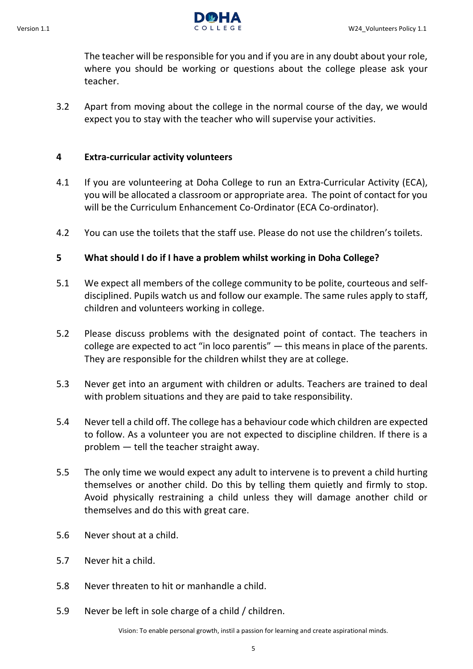

The teacher will be responsible for you and if you are in any doubt about your role, where you should be working or questions about the college please ask your teacher.

3.2 Apart from moving about the college in the normal course of the day, we would expect you to stay with the teacher who will supervise your activities.

## <span id="page-4-0"></span>**4 Extra-curricular activity volunteers**

- 4.1 If you are volunteering at Doha College to run an Extra-Curricular Activity (ECA), you will be allocated a classroom or appropriate area. The point of contact for you will be the Curriculum Enhancement Co-Ordinator (ECA Co-ordinator).
- 4.2 You can use the toilets that the staff use. Please do not use the children's toilets.

## <span id="page-4-1"></span>**5 What should I do if I have a problem whilst working in Doha College?**

- 5.1 We expect all members of the college community to be polite, courteous and selfdisciplined. Pupils watch us and follow our example. The same rules apply to staff, children and volunteers working in college.
- 5.2 Please discuss problems with the designated point of contact. The teachers in college are expected to act "in loco parentis" — this means in place of the parents. They are responsible for the children whilst they are at college.
- 5.3 Never get into an argument with children or adults. Teachers are trained to deal with problem situations and they are paid to take responsibility.
- 5.4 Never tell a child off. The college has a behaviour code which children are expected to follow. As a volunteer you are not expected to discipline children. If there is a problem — tell the teacher straight away.
- 5.5 The only time we would expect any adult to intervene is to prevent a child hurting themselves or another child. Do this by telling them quietly and firmly to stop. Avoid physically restraining a child unless they will damage another child or themselves and do this with great care.
- 5.6 Never shout at a child.
- 5.7 Never hit a child.
- 5.8 Never threaten to hit or manhandle a child.
- 5.9 Never be left in sole charge of a child / children.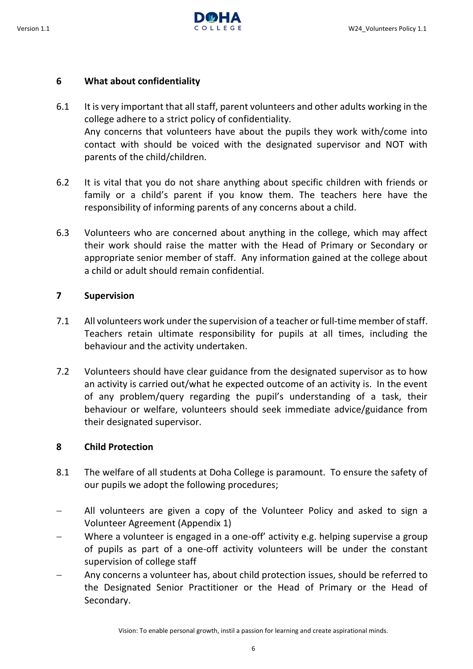

#### <span id="page-5-0"></span>**6 What about confidentiality**

- 6.1 It is very important that all staff, parent volunteers and other adults working in the college adhere to a strict policy of confidentiality. Any concerns that volunteers have about the pupils they work with/come into contact with should be voiced with the designated supervisor and NOT with parents of the child/children.
- 6.2 It is vital that you do not share anything about specific children with friends or family or a child's parent if you know them. The teachers here have the responsibility of informing parents of any concerns about a child.
- 6.3 Volunteers who are concerned about anything in the college, which may affect their work should raise the matter with the Head of Primary or Secondary or appropriate senior member of staff. Any information gained at the college about a child or adult should remain confidential.

## <span id="page-5-1"></span>**7 Supervision**

- 7.1 All volunteers work under the supervision of a teacher or full-time member of staff. Teachers retain ultimate responsibility for pupils at all times, including the behaviour and the activity undertaken.
- 7.2 Volunteers should have clear guidance from the designated supervisor as to how an activity is carried out/what he expected outcome of an activity is. In the event of any problem/query regarding the pupil's understanding of a task, their behaviour or welfare, volunteers should seek immediate advice/guidance from their designated supervisor.

## <span id="page-5-2"></span>**8 Child Protection**

- 8.1 The welfare of all students at Doha College is paramount. To ensure the safety of our pupils we adopt the following procedures;
- All volunteers are given a copy of the Volunteer Policy and asked to sign a Volunteer Agreement (Appendix 1)
- Where a volunteer is engaged in a one-off' activity e.g. helping supervise a group of pupils as part of a one-off activity volunteers will be under the constant supervision of college staff
- Any concerns a volunteer has, about child protection issues, should be referred to the Designated Senior Practitioner or the Head of Primary or the Head of Secondary.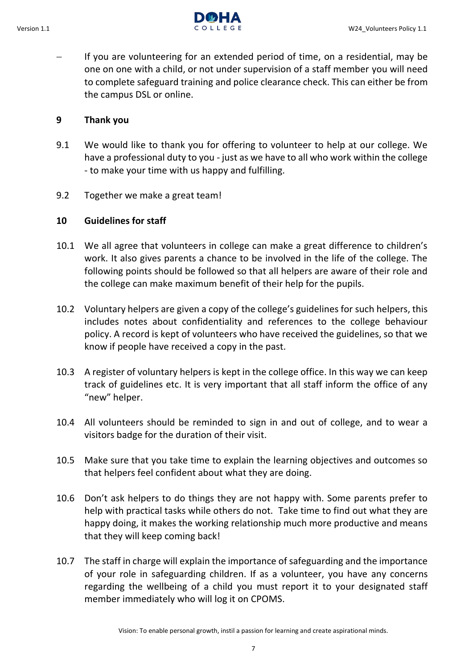

 If you are volunteering for an extended period of time, on a residential, may be one on one with a child, or not under supervision of a staff member you will need to complete safeguard training and police clearance check. This can either be from the campus DSL or online.

## <span id="page-6-0"></span>**9 Thank you**

- 9.1 We would like to thank you for offering to volunteer to help at our college. We have a professional duty to you - just as we have to all who work within the college - to make your time with us happy and fulfilling.
- 9.2 Together we make a great team!

## <span id="page-6-1"></span>**10 Guidelines for staff**

- 10.1 We all agree that volunteers in college can make a great difference to children's work. It also gives parents a chance to be involved in the life of the college. The following points should be followed so that all helpers are aware of their role and the college can make maximum benefit of their help for the pupils.
- 10.2 Voluntary helpers are given a copy of the college's guidelines for such helpers, this includes notes about confidentiality and references to the college behaviour policy. A record is kept of volunteers who have received the guidelines, so that we know if people have received a copy in the past.
- 10.3 A register of voluntary helpers is kept in the college office. In this way we can keep track of guidelines etc. It is very important that all staff inform the office of any "new" helper.
- 10.4 All volunteers should be reminded to sign in and out of college, and to wear a visitors badge for the duration of their visit.
- 10.5 Make sure that you take time to explain the learning objectives and outcomes so that helpers feel confident about what they are doing.
- 10.6 Don't ask helpers to do things they are not happy with. Some parents prefer to help with practical tasks while others do not. Take time to find out what they are happy doing, it makes the working relationship much more productive and means that they will keep coming back!
- 10.7 The staff in charge will explain the importance of safeguarding and the importance of your role in safeguarding children. If as a volunteer, you have any concerns regarding the wellbeing of a child you must report it to your designated staff member immediately who will log it on CPOMS.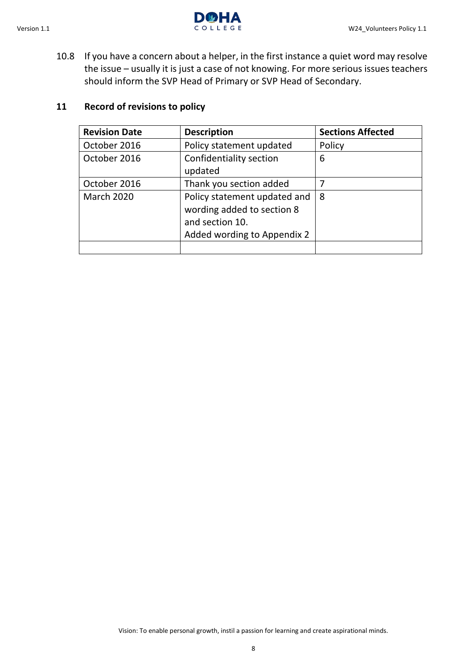

10.8 If you have a concern about a helper, in the first instance a quiet word may resolve the issue – usually it is just a case of not knowing. For more serious issues teachers should inform the SVP Head of Primary or SVP Head of Secondary.

# **11 Record of revisions to policy**

<span id="page-7-0"></span>

| <b>Revision Date</b> | <b>Description</b>           | <b>Sections Affected</b> |
|----------------------|------------------------------|--------------------------|
| October 2016         | Policy statement updated     | Policy                   |
| October 2016         | Confidentiality section      | 6                        |
|                      | updated                      |                          |
| October 2016         | Thank you section added      |                          |
| <b>March 2020</b>    | Policy statement updated and | 8                        |
|                      | wording added to section 8   |                          |
|                      | and section 10.              |                          |
|                      | Added wording to Appendix 2  |                          |
|                      |                              |                          |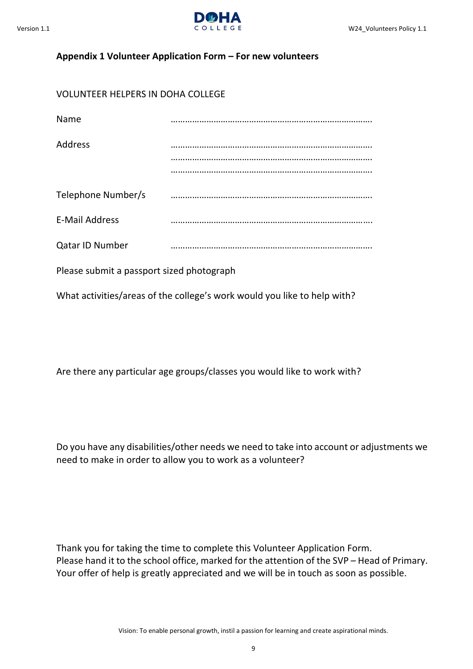

#### <span id="page-8-0"></span>**Appendix 1 Volunteer Application Form – For new volunteers**

# VOLUNTEER HELPERS IN DOHA COLLEGE

| Name                  |  |
|-----------------------|--|
| Address               |  |
|                       |  |
|                       |  |
| Telephone Number/s    |  |
| <b>E-Mail Address</b> |  |
| Qatar ID Number       |  |
|                       |  |

Please submit a passport sized photograph

What activities/areas of the college's work would you like to help with?

Are there any particular age groups/classes you would like to work with?

Do you have any disabilities/other needs we need to take into account or adjustments we need to make in order to allow you to work as a volunteer?

Thank you for taking the time to complete this Volunteer Application Form. Please hand it to the school office, marked for the attention of the SVP – Head of Primary. Your offer of help is greatly appreciated and we will be in touch as soon as possible.